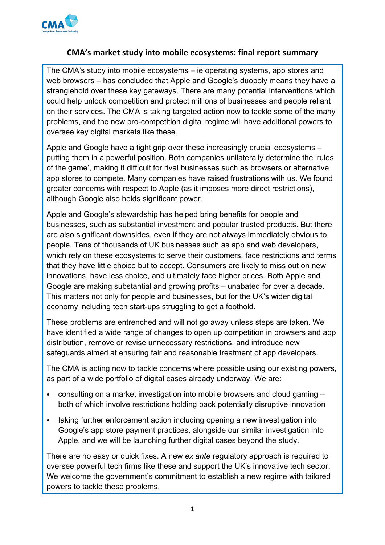

# **CMA's market study into mobile ecosystems: final report summary**

The CMA's study into mobile ecosystems – ie operating systems, app stores and web browsers – has concluded that Apple and Google's duopoly means they have a stranglehold over these key gateways. There are many potential interventions which could help unlock competition and protect millions of businesses and people reliant on their services. The CMA is taking targeted action now to tackle some of the many problems, and the new pro-competition digital regime will have additional powers to oversee key digital markets like these.

Apple and Google have a tight grip over these increasingly crucial ecosystems – putting them in a powerful position. Both companies unilaterally determine the 'rules of the game', making it difficult for rival businesses such as browsers or alternative app stores to compete. Many companies have raised frustrations with us. We found greater concerns with respect to Apple (as it imposes more direct restrictions), although Google also holds significant power.

Apple and Google's stewardship has helped bring benefits for people and businesses, such as substantial investment and popular trusted products. But there are also significant downsides, even if they are not always immediately obvious to people. Tens of thousands of UK businesses such as app and web developers, which rely on these ecosystems to serve their customers, face restrictions and terms that they have little choice but to accept. Consumers are likely to miss out on new innovations, have less choice, and ultimately face higher prices. Both Apple and Google are making substantial and growing profits – unabated for over a decade. This matters not only for people and businesses, but for the UK's wider digital economy including tech start-ups struggling to get a foothold.

These problems are entrenched and will not go away unless steps are taken. We have identified a wide range of changes to open up competition in browsers and app distribution, remove or revise unnecessary restrictions, and introduce new safeguards aimed at ensuring fair and reasonable treatment of app developers.

The CMA is acting now to tackle concerns where possible using our existing powers, as part of a wide portfolio of digital cases already underway. We are:

- consulting on a market investigation into mobile browsers and cloud gaming both of which involve restrictions holding back potentially disruptive innovation
- taking further enforcement action including opening a new investigation into Google's app store payment practices, alongside our similar investigation into Apple, and we will be launching further digital cases beyond the study.

There are no easy or quick fixes. A new *ex ante* regulatory approach is required to oversee powerful tech firms like these and support the UK's innovative tech sector. We welcome the government's commitment to establish a new regime with tailored powers to tackle these problems.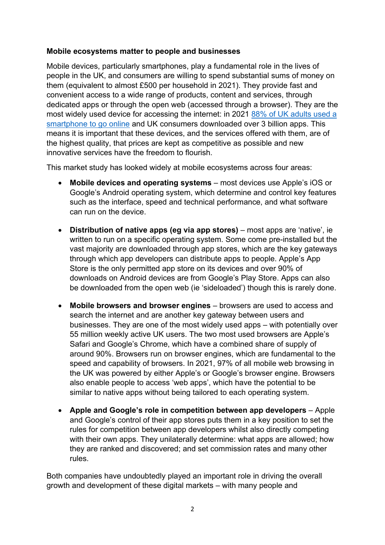### **Mobile ecosystems matter to people and businesses**

Mobile devices, particularly smartphones, play a fundamental role in the lives of people in the UK, and consumers are willing to spend substantial sums of money on them (equivalent to almost £500 per household in 2021). They provide fast and convenient access to a wide range of products, content and services, through dedicated apps or through the open web (accessed through a browser). They are the most widely used device for accessing the internet: in 2021 [88% of UK adults used a](https://www.ofcom.org.uk/research-and-data/media-literacy-research/adults/adults-media-use-and-attitudes/interactive-tool)  [smartphone to go online](https://www.ofcom.org.uk/research-and-data/media-literacy-research/adults/adults-media-use-and-attitudes/interactive-tool) and UK consumers downloaded over 3 billion apps. This means it is important that these devices, and the services offered with them, are of the highest quality, that prices are kept as competitive as possible and new innovative services have the freedom to flourish.

This market study has looked widely at mobile ecosystems across four areas:

- **Mobile devices and operating systems** most devices use Apple's iOS or Google's Android operating system, which determine and control key features such as the interface, speed and technical performance, and what software can run on the device.
- **Distribution of native apps (eg via app stores)**  most apps are 'native', ie written to run on a specific operating system. Some come pre-installed but the vast majority are downloaded through app stores, which are the key gateways through which app developers can distribute apps to people. Apple's App Store is the only permitted app store on its devices and over 90% of downloads on Android devices are from Google's Play Store. Apps can also be downloaded from the open web (ie 'sideloaded') though this is rarely done.
- **Mobile browsers and browser engines** browsers are used to access and search the internet and are another key gateway between users and businesses. They are one of the most widely used apps – with potentially over 55 million weekly active UK users. The two most used browsers are Apple's Safari and Google's Chrome, which have a combined share of supply of around 90%. Browsers run on browser engines, which are fundamental to the speed and capability of browsers. In 2021, 97% of all mobile web browsing in the UK was powered by either Apple's or Google's browser engine. Browsers also enable people to access 'web apps', which have the potential to be similar to native apps without being tailored to each operating system.
- **Apple and Google's role in competition between app developers** Apple and Google's control of their app stores puts them in a key position to set the rules for competition between app developers whilst also directly competing with their own apps. They unilaterally determine: what apps are allowed; how they are ranked and discovered; and set commission rates and many other rules.

Both companies have undoubtedly played an important role in driving the overall growth and development of these digital markets – with many people and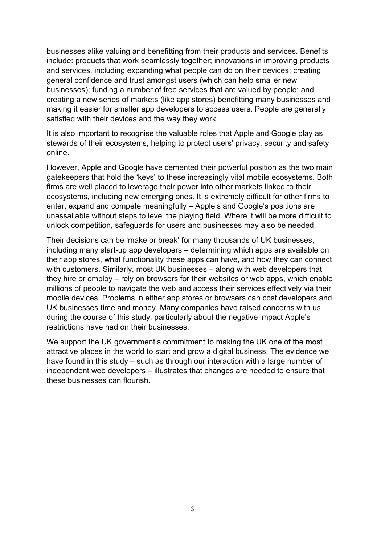businesses alike valuing and benefitting from their products and services. Benefits include: products that work seamlessly together; innovations in improving products and services, including expanding what people can do on their devices; creating general confidence and trust amongst users (which can help smaller new businesses); funding a number of free services that are valued by people; and creating a new series of markets (like app stores) benefitting many businesses and making it easier for smaller app developers to access users. People are generally satisfied with their devices and the way they work.

It is also important to recognise the valuable roles that Apple and Google play as stewards of their ecosystems, helping to protect users' privacy, security and safety online.

However, Apple and Google have cemented their powerful position as the two main gatekeepers that hold the 'keys' to these increasingly vital mobile ecosystems. Both firms are well placed to leverage their power into other markets linked to their ecosystems, including new emerging ones. It is extremely difficult for other firms to enter, expand and compete meaningfully – Apple's and Google's positions are unassailable without steps to level the playing field. Where it will be more difficult to unlock competition, safeguards for users and businesses may also be needed.

Their decisions can be 'make or break' for many thousands of UK businesses, including many start-up app developers – determining which apps are available on their app stores, what functionality these apps can have, and how they can connect with customers. Similarly, most UK businesses – along with web developers that they hire or employ – rely on browsers for their websites or web apps, which enable millions of people to navigate the web and access their services effectively via their mobile devices. Problems in either app stores or browsers can cost developers and UK businesses time and money. Many companies have raised concerns with us during the course of this study, particularly about the negative impact Apple's restrictions have had on their businesses.

We support the UK government's commitment to making the UK one of the most attractive places in the world to start and grow a digital business. The evidence we have found in this study – such as through our interaction with a large number of independent web developers – illustrates that changes are needed to ensure that these businesses can flourish.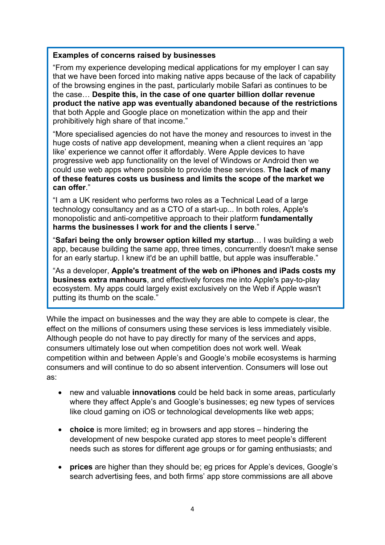#### **Examples of concerns raised by businesses**

"From my experience developing medical applications for my employer I can say that we have been forced into making native apps because of the lack of capability of the browsing engines in the past, particularly mobile Safari as continues to be the case… **Despite this, in the case of one quarter billion dollar revenue product the native app was eventually abandoned because of the restrictions** that both Apple and Google place on monetization within the app and their prohibitively high share of that income."

"More specialised agencies do not have the money and resources to invest in the huge costs of native app development, meaning when a client requires an 'app like' experience we cannot offer it affordably. Were Apple devices to have progressive web app functionality on the level of Windows or Android then we could use web apps where possible to provide these services. **The lack of many of these features costs us business and limits the scope of the market we can offer**."

"I am a UK resident who performs two roles as a Technical Lead of a large technology consultancy and as a CTO of a start-up... In both roles, Apple's monopolistic and anti-competitive approach to their platform **fundamentally harms the businesses I work for and the clients I serve**."

"**Safari being the only browser option killed my startup**… I was building a web app, because building the same app, three times, concurrently doesn't make sense for an early startup. I knew it'd be an uphill battle, but apple was insufferable."

"As a developer, **Apple's treatment of the web on iPhones and iPads costs my business extra manhours**, and effectively forces me into Apple's pay-to-play ecosystem. My apps could largely exist exclusively on the Web if Apple wasn't putting its thumb on the scale."

While the impact on businesses and the way they are able to compete is clear, the effect on the millions of consumers using these services is less immediately visible. Although people do not have to pay directly for many of the services and apps, consumers ultimately lose out when competition does not work well. Weak competition within and between Apple's and Google's mobile ecosystems is harming consumers and will continue to do so absent intervention. Consumers will lose out as:

- new and valuable **innovations** could be held back in some areas, particularly where they affect Apple's and Google's businesses; eg new types of services like cloud gaming on iOS or technological developments like web apps;
- **choice** is more limited; eg in browsers and app stores hindering the development of new bespoke curated app stores to meet people's different needs such as stores for different age groups or for gaming enthusiasts; and
- **prices** are higher than they should be; eg prices for Apple's devices, Google's search advertising fees, and both firms' app store commissions are all above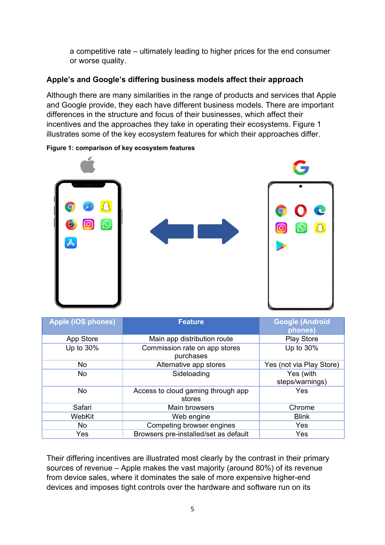a competitive rate – ultimately leading to higher prices for the end consumer or worse quality.

# **Apple's and Google's differing business models affect their approach**

Although there are many similarities in the range of products and services that Apple and Google provide, they each have different business models. There are important differences in the structure and focus of their businesses, which affect their incentives and the approaches they take in operating their ecosystems. Figure 1 illustrates some of the key ecosystem features for which their approaches differ.



#### **Figure 1: comparison of key ecosystem features**

| <b>Apple (iOS phones)</b> | <b>Feature</b>                               | <b>Google (Android</b><br>phones) |
|---------------------------|----------------------------------------------|-----------------------------------|
| App Store                 | Main app distribution route                  | <b>Play Store</b>                 |
| Up to 30%                 | Commission rate on app stores<br>purchases   | Up to 30%                         |
| No.                       | Alternative app stores                       | Yes (not via Play Store)          |
| No                        | Sideloading                                  | Yes (with<br>steps/warnings)      |
| No.                       | Access to cloud gaming through app<br>stores | Yes                               |
| Safari                    | Main browsers                                | Chrome                            |
| WebKit                    | Web engine                                   | <b>Blink</b>                      |
| No.                       | Competing browser engines                    | Yes                               |
| Yes                       | Browsers pre-installed/set as default        | Yes                               |

Their differing incentives are illustrated most clearly by the contrast in their primary sources of revenue – Apple makes the vast majority (around 80%) of its revenue from device sales, where it dominates the sale of more expensive higher-end devices and imposes tight controls over the hardware and software run on its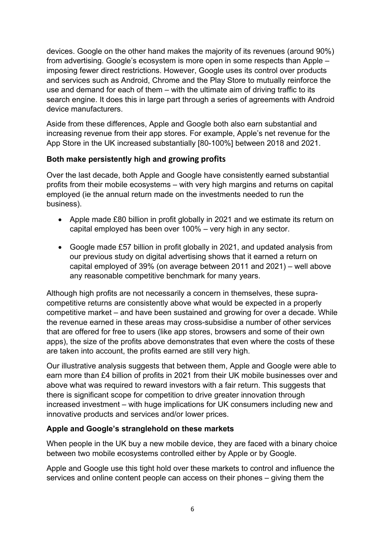devices. Google on the other hand makes the majority of its revenues (around 90%) from advertising. Google's ecosystem is more open in some respects than Apple – imposing fewer direct restrictions. However, Google uses its control over products and services such as Android, Chrome and the Play Store to mutually reinforce the use and demand for each of them – with the ultimate aim of driving traffic to its search engine. It does this in large part through a series of agreements with Android device manufacturers.

Aside from these differences, Apple and Google both also earn substantial and increasing revenue from their app stores. For example, Apple's net revenue for the App Store in the UK increased substantially [80-100%] between 2018 and 2021.

# **Both make persistently high and growing profits**

Over the last decade, both Apple and Google have consistently earned substantial profits from their mobile ecosystems – with very high margins and returns on capital employed (ie the annual return made on the investments needed to run the business).

- Apple made £80 billion in profit globally in 2021 and we estimate its return on capital employed has been over 100% – very high in any sector.
- Google made £57 billion in profit globally in 2021, and updated analysis from our previous study on digital advertising shows that it earned a return on capital employed of 39% (on average between 2011 and 2021) – well above any reasonable competitive benchmark for many years.

Although high profits are not necessarily a concern in themselves, these supracompetitive returns are consistently above what would be expected in a properly competitive market – and have been sustained and growing for over a decade. While the revenue earned in these areas may cross-subsidise a number of other services that are offered for free to users (like app stores, browsers and some of their own apps), the size of the profits above demonstrates that even where the costs of these are taken into account, the profits earned are still very high.

Our illustrative analysis suggests that between them, Apple and Google were able to earn more than £4 billion of profits in 2021 from their UK mobile businesses over and above what was required to reward investors with a fair return. This suggests that there is significant scope for competition to drive greater innovation through increased investment – with huge implications for UK consumers including new and innovative products and services and/or lower prices.

# **Apple and Google's stranglehold on these markets**

When people in the UK buy a new mobile device, they are faced with a binary choice between two mobile ecosystems controlled either by Apple or by Google.

Apple and Google use this tight hold over these markets to control and influence the services and online content people can access on their phones – giving them the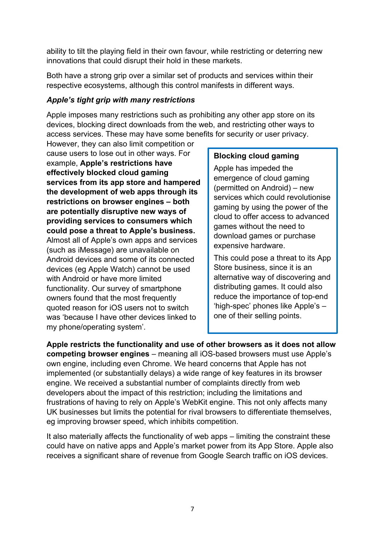ability to tilt the playing field in their own favour, while restricting or deterring new innovations that could disrupt their hold in these markets.

Both have a strong grip over a similar set of products and services within their respective ecosystems, although this control manifests in different ways.

# *Apple's tight grip with many restrictions*

Apple imposes many restrictions such as prohibiting any other app store on its devices, blocking direct downloads from the web, and restricting other ways to access services. These may have some benefits for security or user privacy.

However, they can also limit competition or cause users to lose out in other ways. For example, **Apple's restrictions have effectively blocked cloud gaming services from its app store and hampered the development of web apps through its restrictions on browser engines – both are potentially disruptive new ways of providing services to consumers which could pose a threat to Apple's business.** Almost all of Apple's own apps and services (such as iMessage) are unavailable on Android devices and some of its connected devices (eg Apple Watch) cannot be used with Android or have more limited functionality. Our survey of smartphone owners found that the most frequently quoted reason for iOS users not to switch was 'because I have other devices linked to my phone/operating system'.

### **Blocking cloud gaming**

Apple has impeded the emergence of cloud gaming (permitted on Android) – new services which could revolutionise gaming by using the power of the cloud to offer access to advanced games without the need to download games or purchase expensive hardware.

This could pose a threat to its App Store business, since it is an alternative way of discovering and distributing games. It could also reduce the importance of top-end 'high-spec' phones like Apple's – one of their selling points.

**Apple restricts the functionality and use of other browsers as it does not allow competing browser engines** – meaning all iOS-based browsers must use Apple's own engine, including even Chrome. We heard concerns that Apple has not implemented (or substantially delays) a wide range of key features in its browser engine. We received a substantial number of complaints directly from web developers about the impact of this restriction; including the limitations and frustrations of having to rely on Apple's WebKit engine. This not only affects many UK businesses but limits the potential for rival browsers to differentiate themselves, eg improving browser speed, which inhibits competition.

It also materially affects the functionality of web apps – limiting the constraint these could have on native apps and Apple's market power from its App Store. Apple also receives a significant share of revenue from Google Search traffic on iOS devices.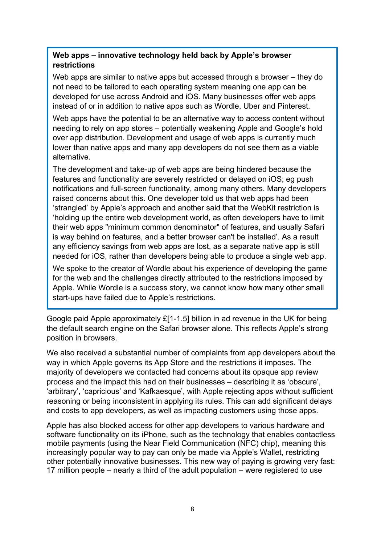# **Web apps – innovative technology held back by Apple's browser restrictions**

Web apps are similar to native apps but accessed through a browser – they do not need to be tailored to each operating system meaning one app can be developed for use across Android and iOS. Many businesses offer web apps instead of or in addition to native apps such as Wordle, Uber and Pinterest.

Web apps have the potential to be an alternative way to access content without needing to rely on app stores – potentially weakening Apple and Google's hold over app distribution. Development and usage of web apps is currently much lower than native apps and many app developers do not see them as a viable alternative.

The development and take-up of web apps are being hindered because the features and functionality are severely restricted or delayed on iOS; eg push notifications and full-screen functionality, among many others. Many developers raised concerns about this. One developer told us that web apps had been 'strangled' by Apple's approach and another said that the WebKit restriction is 'holding up the entire web development world, as often developers have to limit their web apps "minimum common denominator" of features, and usually Safari is way behind on features, and a better browser can't be installed'. As a result any efficiency savings from web apps are lost, as a separate native app is still needed for iOS, rather than developers being able to produce a single web app.

We spoke to the creator of Wordle about his experience of developing the game for the web and the challenges directly attributed to the restrictions imposed by Apple. While Wordle is a success story, we cannot know how many other small start-ups have failed due to Apple's restrictions.

Google paid Apple approximately £[1-1.5] billion in ad revenue in the UK for being the default search engine on the Safari browser alone. This reflects Apple's strong position in browsers.

We also received a substantial number of complaints from app developers about the way in which Apple governs its App Store and the restrictions it imposes. The majority of developers we contacted had concerns about its opaque app review process and the impact this had on their businesses – describing it as 'obscure', 'arbitrary', 'capricious' and 'Kafkaesque', with Apple rejecting apps without sufficient reasoning or being inconsistent in applying its rules. This can add significant delays and costs to app developers, as well as impacting customers using those apps.

Apple has also blocked access for other app developers to various hardware and software functionality on its iPhone, such as the technology that enables contactless mobile payments (using the Near Field Communication (NFC) chip), meaning this increasingly popular way to pay can only be made via Apple's Wallet, restricting other potentially innovative businesses. This new way of paying is growing very fast: 17 million people – nearly a third of the adult population – were registered to use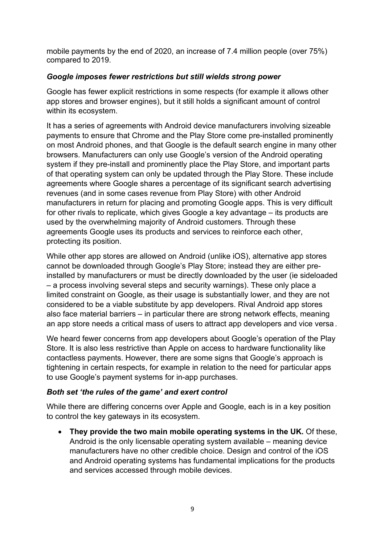mobile payments by the end of 2020, an increase of 7.4 million people (over 75%) compared to 2019.

# *Google imposes fewer restrictions but still wields strong power*

Google has fewer explicit restrictions in some respects (for example it allows other app stores and browser engines), but it still holds a significant amount of control within its ecosystem.

It has a series of agreements with Android device manufacturers involving sizeable payments to ensure that Chrome and the Play Store come pre-installed prominently on most Android phones, and that Google is the default search engine in many other browsers. Manufacturers can only use Google's version of the Android operating system if they pre-install and prominently place the Play Store, and important parts of that operating system can only be updated through the Play Store. These include agreements where Google shares a percentage of its significant search advertising revenues (and in some cases revenue from Play Store) with other Android manufacturers in return for placing and promoting Google apps. This is very difficult for other rivals to replicate, which gives Google a key advantage – its products are used by the overwhelming majority of Android customers. Through these agreements Google uses its products and services to reinforce each other, protecting its position.

While other app stores are allowed on Android (unlike iOS), alternative app stores cannot be downloaded through Google's Play Store; instead they are either preinstalled by manufacturers or must be directly downloaded by the user (ie sideloaded – a process involving several steps and security warnings). These only place a limited constraint on Google, as their usage is substantially lower, and they are not considered to be a viable substitute by app developers. Rival Android app stores also face material barriers – in particular there are strong network effects, meaning an app store needs a critical mass of users to attract app developers and vice versa .

We heard fewer concerns from app developers about Google's operation of the Play Store. It is also less restrictive than Apple on access to hardware functionality like contactless payments. However, there are some signs that Google's approach is tightening in certain respects, for example in relation to the need for particular apps to use Google's payment systems for in-app purchases.

# *Both set 'the rules of the game' and exert control*

While there are differing concerns over Apple and Google, each is in a key position to control the key gateways in its ecosystem.

• **They provide the two main mobile operating systems in the UK.** Of these, Android is the only licensable operating system available – meaning device manufacturers have no other credible choice. Design and control of the iOS and Android operating systems has fundamental implications for the products and services accessed through mobile devices.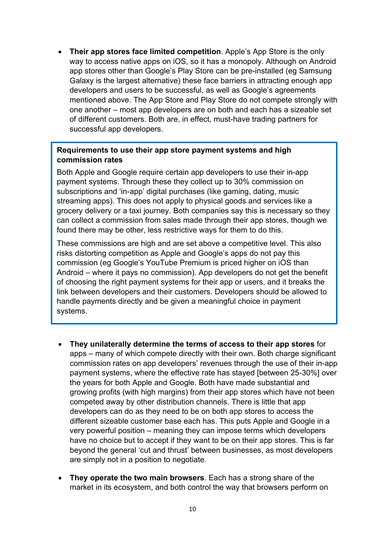• **Their app stores face limited competition**. Apple's App Store is the only way to access native apps on iOS, so it has a monopoly. Although on Android app stores other than Google's Play Store can be pre-installed (eg Samsung Galaxy is the largest alternative) these face barriers in attracting enough app developers and users to be successful, as well as Google's agreements mentioned above. The App Store and Play Store do not compete strongly with one another – most app developers are on both and each has a sizeable set of different customers. Both are, in effect, must-have trading partners for successful app developers.

### **Requirements to use their app store payment systems and high commission rates**

Both Apple and Google require certain app developers to use their in-app payment systems. Through these they collect up to 30% commission on subscriptions and 'in-app' digital purchases (like gaming, dating, music streaming apps). This does not apply to physical goods and services like a grocery delivery or a taxi journey. Both companies say this is necessary so they can collect a commission from sales made through their app stores, though we found there may be other, less restrictive ways for them to do this.

These commissions are high and are set above a competitive level. This also risks distorting competition as Apple and Google's apps do not pay this commission (eg Google's YouTube Premium is priced higher on iOS than Android – where it pays no commission). App developers do not get the benefit of choosing the right payment systems for their app or users, and it breaks the link between developers and their customers. Developers should be allowed to handle payments directly and be given a meaningful choice in payment systems.

- **They unilaterally determine the terms of access to their app stores** for apps – many of which compete directly with their own. Both charge significant commission rates on app developers' revenues through the use of their in-app payment systems, where the effective rate has stayed [between 25-30%] over the years for both Apple and Google. Both have made substantial and growing profits (with high margins) from their app stores which have not been competed away by other distribution channels. There is little that app developers can do as they need to be on both app stores to access the different sizeable customer base each has. This puts Apple and Google in a very powerful position – meaning they can impose terms which developers have no choice but to accept if they want to be on their app stores. This is far beyond the general 'cut and thrust' between businesses, as most developers are simply not in a position to negotiate.
- **They operate the two main browsers**. Each has a strong share of the market in its ecosystem, and both control the way that browsers perform on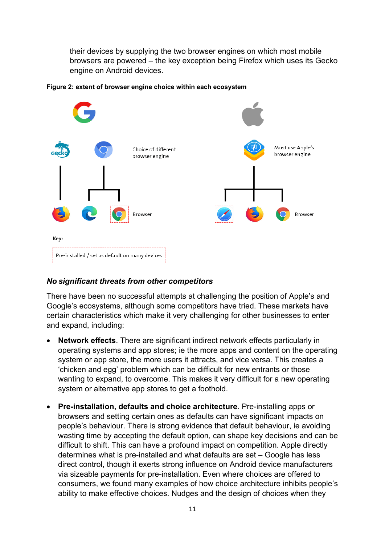their devices by supplying the two browser engines on which most mobile browsers are powered – the key exception being Firefox which uses its Gecko engine on Android devices.



#### **Figure 2: extent of browser engine choice within each ecosystem**

#### *No significant threats from other competitors*

There have been no successful attempts at challenging the position of Apple's and Google's ecosystems, although some competitors have tried. These markets have certain characteristics which make it very challenging for other businesses to enter and expand, including:

- **Network effects**. There are significant indirect network effects particularly in operating systems and app stores; ie the more apps and content on the operating system or app store, the more users it attracts, and vice versa. This creates a 'chicken and egg' problem which can be difficult for new entrants or those wanting to expand, to overcome. This makes it very difficult for a new operating system or alternative app stores to get a foothold.
- **Pre-installation, defaults and choice architecture**. Pre-installing apps or browsers and setting certain ones as defaults can have significant impacts on people's behaviour. There is strong evidence that default behaviour, ie avoiding wasting time by accepting the default option, can shape key decisions and can be difficult to shift. This can have a profound impact on competition. Apple directly determines what is pre-installed and what defaults are set – Google has less direct control, though it exerts strong influence on Android device manufacturers via sizeable payments for pre-installation. Even where choices are offered to consumers, we found many examples of how choice architecture inhibits people's ability to make effective choices. Nudges and the design of choices when they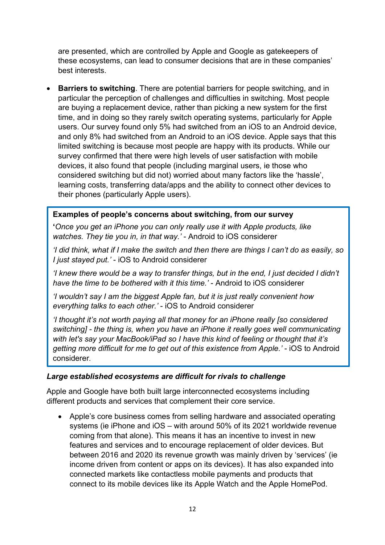are presented, which are controlled by Apple and Google as gatekeepers of these ecosystems, can lead to consumer decisions that are in these companies' best interests.

• **Barriers to switching**. There are potential barriers for people switching, and in particular the perception of challenges and difficulties in switching. Most people are buying a replacement device, rather than picking a new system for the first time, and in doing so they rarely switch operating systems, particularly for Apple users. Our survey found only 5% had switched from an iOS to an Android device, and only 8% had switched from an Android to an iOS device. Apple says that this limited switching is because most people are happy with its products. While our survey confirmed that there were high levels of user satisfaction with mobile devices, it also found that people (including marginal users, ie those who considered switching but did not) worried about many factors like the 'hassle', learning costs, transferring data/apps and the ability to connect other devices to their phones (particularly Apple users).

### **Examples of people's concerns about switching, from our survey**

**'***Once you get an iPhone you can only really use it with Apple products, like watches. They tie you in, in that way.'* - Android to iOS considerer

*'I did think, what if I make the switch and then there are things I can't do as easily, so I just stayed put.'* - iOS to Android considerer

*'I knew there would be a way to transfer things, but in the end, I just decided I didn't have the time to be bothered with it this time.'* - Android to iOS considerer

*'I wouldn't say I am the biggest Apple fan, but it is just really convenient how everything talks to each other.'* - iOS to Android considerer

*'I thought it's not worth paying all that money for an iPhone really [so considered switching] - the thing is, when you have an iPhone it really goes well communicating with let's say your MacBook/iPad so I have this kind of feeling or thought that it's getting more difficult for me to get out of this existence from Apple.'* - iOS to Android considerer*.*

#### *Large established ecosystems are difficult for rivals to challenge*

Apple and Google have both built large interconnected ecosystems including different products and services that complement their core service.

• Apple's core business comes from selling hardware and associated operating systems (ie iPhone and iOS – with around 50% of its 2021 worldwide revenue coming from that alone). This means it has an incentive to invest in new features and services and to encourage replacement of older devices. But between 2016 and 2020 its revenue growth was mainly driven by 'services' (ie income driven from content or apps on its devices). It has also expanded into connected markets like contactless mobile payments and products that connect to its mobile devices like its Apple Watch and the Apple HomePod.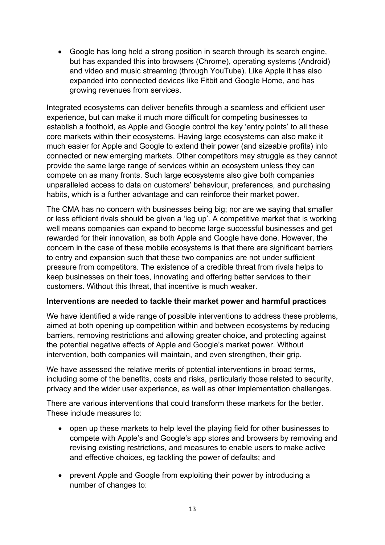• Google has long held a strong position in search through its search engine, but has expanded this into browsers (Chrome), operating systems (Android) and video and music streaming (through YouTube). Like Apple it has also expanded into connected devices like Fitbit and Google Home, and has growing revenues from services.

Integrated ecosystems can deliver benefits through a seamless and efficient user experience, but can make it much more difficult for competing businesses to establish a foothold, as Apple and Google control the key 'entry points' to all these core markets within their ecosystems. Having large ecosystems can also make it much easier for Apple and Google to extend their power (and sizeable profits) into connected or new emerging markets. Other competitors may struggle as they cannot provide the same large range of services within an ecosystem unless they can compete on as many fronts. Such large ecosystems also give both companies unparalleled access to data on customers' behaviour, preferences, and purchasing habits, which is a further advantage and can reinforce their market power.

The CMA has no concern with businesses being big; nor are we saying that smaller or less efficient rivals should be given a 'leg up'. A competitive market that is working well means companies can expand to become large successful businesses and get rewarded for their innovation, as both Apple and Google have done. However, the concern in the case of these mobile ecosystems is that there are significant barriers to entry and expansion such that these two companies are not under sufficient pressure from competitors. The existence of a credible threat from rivals helps to keep businesses on their toes, innovating and offering better services to their customers. Without this threat, that incentive is much weaker.

#### **Interventions are needed to tackle their market power and harmful practices**

We have identified a wide range of possible interventions to address these problems, aimed at both opening up competition within and between ecosystems by reducing barriers, removing restrictions and allowing greater choice, and protecting against the potential negative effects of Apple and Google's market power. Without intervention, both companies will maintain, and even strengthen, their grip.

We have assessed the relative merits of potential interventions in broad terms, including some of the benefits, costs and risks, particularly those related to security, privacy and the wider user experience, as well as other implementation challenges.

There are various interventions that could transform these markets for the better. These include measures to:

- open up these markets to help level the playing field for other businesses to compete with Apple's and Google's app stores and browsers by removing and revising existing restrictions, and measures to enable users to make active and effective choices, eg tackling the power of defaults; and
- prevent Apple and Google from exploiting their power by introducing a number of changes to: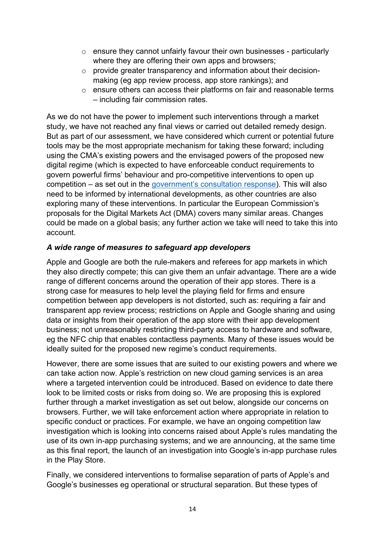- $\circ$  ensure they cannot unfairly favour their own businesses particularly where they are offering their own apps and browsers;
- o provide greater transparency and information about their decisionmaking (eg app review process, app store rankings); and
- o ensure others can access their platforms on fair and reasonable terms – including fair commission rates.

As we do not have the power to implement such interventions through a market study, we have not reached any final views or carried out detailed remedy design. But as part of our assessment, we have considered which current or potential future tools may be the most appropriate mechanism for taking these forward; including using the CMA's existing powers and the envisaged powers of the proposed new digital regime (which is expected to have enforceable conduct requirements to govern powerful firms' behaviour and pro-competitive interventions to open up competition – as set out in the [government's consultation response\)](https://www.gov.uk/government/consultations/a-new-pro-competition-regime-for-digital-markets/outcome/a-new-pro-competition-regime-for-digital-markets-government-response-to-consultation?msclkid=f5404be7cf8611ec833b8efe265aa90f). This will also need to be informed by international developments, as other countries are also exploring many of these interventions. In particular the European Commission's proposals for the Digital Markets Act (DMA) covers many similar areas. Changes could be made on a global basis; any further action we take will need to take this into account.

# *A wide range of measures to safeguard app developers*

Apple and Google are both the rule-makers and referees for app markets in which they also directly compete; this can give them an unfair advantage. There are a wide range of different concerns around the operation of their app stores. There is a strong case for measures to help level the playing field for firms and ensure competition between app developers is not distorted, such as: requiring a fair and transparent app review process; restrictions on Apple and Google sharing and using data or insights from their operation of the app store with their app development business; not unreasonably restricting third-party access to hardware and software, eg the NFC chip that enables contactless payments. Many of these issues would be ideally suited for the proposed new regime's conduct requirements.

However, there are some issues that are suited to our existing powers and where we can take action now. Apple's restriction on new cloud gaming services is an area where a targeted intervention could be introduced. Based on evidence to date there look to be limited costs or risks from doing so. We are proposing this is explored further through a market investigation as set out below, alongside our concerns on browsers. Further, we will take enforcement action where appropriate in relation to specific conduct or practices. For example, we have an ongoing competition law investigation which is looking into concerns raised about Apple's rules mandating the use of its own in-app purchasing systems; and we are announcing, at the same time as this final report, the launch of an investigation into Google's in-app purchase rules in the Play Store.

Finally, we considered interventions to formalise separation of parts of Apple's and Google's businesses eg operational or structural separation. But these types of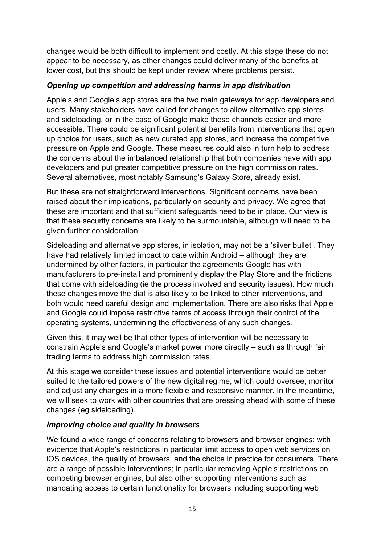changes would be both difficult to implement and costly. At this stage these do not appear to be necessary, as other changes could deliver many of the benefits at lower cost, but this should be kept under review where problems persist.

# *Opening up competition and addressing harms in app distribution*

Apple's and Google's app stores are the two main gateways for app developers and users. Many stakeholders have called for changes to allow alternative app stores and sideloading, or in the case of Google make these channels easier and more accessible. There could be significant potential benefits from interventions that open up choice for users, such as new curated app stores, and increase the competitive pressure on Apple and Google. These measures could also in turn help to address the concerns about the imbalanced relationship that both companies have with app developers and put greater competitive pressure on the high commission rates. Several alternatives, most notably Samsung's Galaxy Store, already exist.

But these are not straightforward interventions. Significant concerns have been raised about their implications, particularly on security and privacy. We agree that these are important and that sufficient safeguards need to be in place. Our view is that these security concerns are likely to be surmountable, although will need to be given further consideration.

Sideloading and alternative app stores, in isolation, may not be a 'silver bullet'. They have had relatively limited impact to date within Android – although they are undermined by other factors, in particular the agreements Google has with manufacturers to pre-install and prominently display the Play Store and the frictions that come with sideloading (ie the process involved and security issues). How much these changes move the dial is also likely to be linked to other interventions, and both would need careful design and implementation. There are also risks that Apple and Google could impose restrictive terms of access through their control of the operating systems, undermining the effectiveness of any such changes.

Given this, it may well be that other types of intervention will be necessary to constrain Apple's and Google's market power more directly – such as through fair trading terms to address high commission rates.

At this stage we consider these issues and potential interventions would be better suited to the tailored powers of the new digital regime, which could oversee, monitor and adjust any changes in a more flexible and responsive manner. In the meantime, we will seek to work with other countries that are pressing ahead with some of these changes (eg sideloading).

# *Improving choice and quality in browsers*

We found a wide range of concerns relating to browsers and browser engines; with evidence that Apple's restrictions in particular limit access to open web services on iOS devices, the quality of browsers, and the choice in practice for consumers. There are a range of possible interventions; in particular removing Apple's restrictions on competing browser engines, but also other supporting interventions such as mandating access to certain functionality for browsers including supporting web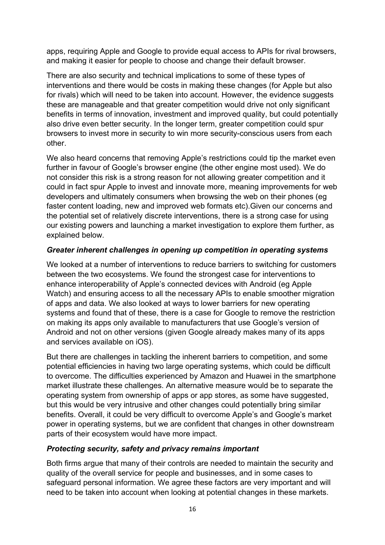apps, requiring Apple and Google to provide equal access to APIs for rival browsers, and making it easier for people to choose and change their default browser.

There are also security and technical implications to some of these types of interventions and there would be costs in making these changes (for Apple but also for rivals) which will need to be taken into account. However, the evidence suggests these are manageable and that greater competition would drive not only significant benefits in terms of innovation, investment and improved quality, but could potentially also drive even better security. In the longer term, greater competition could spur browsers to invest more in security to win more security-conscious users from each other.

We also heard concerns that removing Apple's restrictions could tip the market even further in favour of Google's browser engine (the other engine most used). We do not consider this risk is a strong reason for not allowing greater competition and it could in fact spur Apple to invest and innovate more, meaning improvements for web developers and ultimately consumers when browsing the web on their phones (eg faster content loading, new and improved web formats etc).Given our concerns and the potential set of relatively discrete interventions, there is a strong case for using our existing powers and launching a market investigation to explore them further, as explained below.

### *Greater inherent challenges in opening up competition in operating systems*

We looked at a number of interventions to reduce barriers to switching for customers between the two ecosystems. We found the strongest case for interventions to enhance interoperability of Apple's connected devices with Android (eg Apple Watch) and ensuring access to all the necessary APIs to enable smoother migration of apps and data. We also looked at ways to lower barriers for new operating systems and found that of these, there is a case for Google to remove the restriction on making its apps only available to manufacturers that use Google's version of Android and not on other versions (given Google already makes many of its apps and services available on iOS).

But there are challenges in tackling the inherent barriers to competition, and some potential efficiencies in having two large operating systems, which could be difficult to overcome. The difficulties experienced by Amazon and Huawei in the smartphone market illustrate these challenges. An alternative measure would be to separate the operating system from ownership of apps or app stores, as some have suggested, but this would be very intrusive and other changes could potentially bring similar benefits. Overall, it could be very difficult to overcome Apple's and Google's market power in operating systems, but we are confident that changes in other downstream parts of their ecosystem would have more impact.

# *Protecting security, safety and privacy remains important*

Both firms argue that many of their controls are needed to maintain the security and quality of the overall service for people and businesses, and in some cases to safeguard personal information. We agree these factors are very important and will need to be taken into account when looking at potential changes in these markets.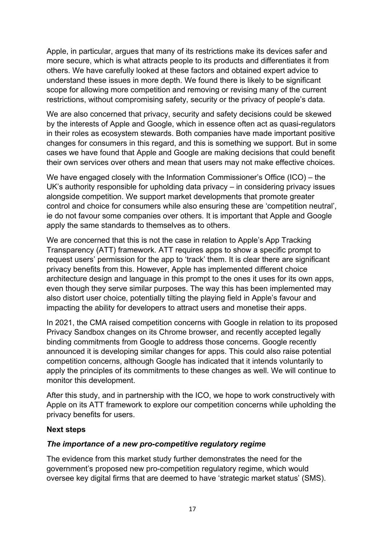Apple, in particular, argues that many of its restrictions make its devices safer and more secure, which is what attracts people to its products and differentiates it from others. We have carefully looked at these factors and obtained expert advice to understand these issues in more depth. We found there is likely to be significant scope for allowing more competition and removing or revising many of the current restrictions, without compromising safety, security or the privacy of people's data.

We are also concerned that privacy, security and safety decisions could be skewed by the interests of Apple and Google, which in essence often act as quasi-regulators in their roles as ecosystem stewards. Both companies have made important positive changes for consumers in this regard, and this is something we support. But in some cases we have found that Apple and Google are making decisions that could benefit their own services over others and mean that users may not make effective choices.

We have engaged closely with the Information Commissioner's Office (ICO) – the UK's authority responsible for upholding data privacy – in considering privacy issues alongside competition. We support market developments that promote greater control and choice for consumers while also ensuring these are 'competition neutral', ie do not favour some companies over others. It is important that Apple and Google apply the same standards to themselves as to others.

We are concerned that this is not the case in relation to Apple's App Tracking Transparency (ATT) framework. ATT requires apps to show a specific prompt to request users' permission for the app to 'track' them. It is clear there are significant privacy benefits from this. However, Apple has implemented different choice architecture design and language in this prompt to the ones it uses for its own apps, even though they serve similar purposes. The way this has been implemented may also distort user choice, potentially tilting the playing field in Apple's favour and impacting the ability for developers to attract users and monetise their apps.

In 2021, the CMA raised competition concerns with Google in relation to its proposed Privacy Sandbox changes on its Chrome browser, and recently accepted legally binding commitments from Google to address those concerns. Google recently announced it is developing similar changes for apps. This could also raise potential competition concerns, although Google has indicated that it intends voluntarily to apply the principles of its commitments to these changes as well. We will continue to monitor this development.

After this study, and in partnership with the ICO, we hope to work constructively with Apple on its ATT framework to explore our competition concerns while upholding the privacy benefits for users.

#### **Next steps**

# *The importance of a new pro-competitive regulatory regime*

The evidence from this market study further demonstrates the need for the government's proposed new pro-competition regulatory regime, which would oversee key digital firms that are deemed to have 'strategic market status' (SMS).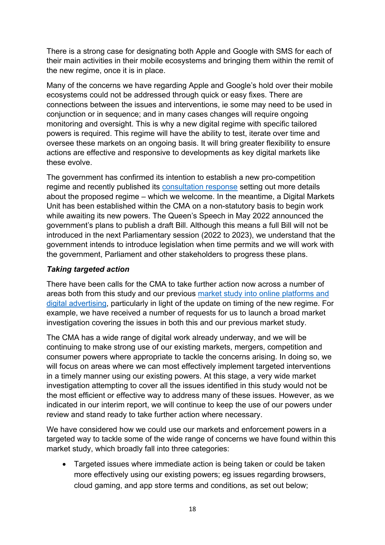There is a strong case for designating both Apple and Google with SMS for each of their main activities in their mobile ecosystems and bringing them within the remit of the new regime, once it is in place.

Many of the concerns we have regarding Apple and Google's hold over their mobile ecosystems could not be addressed through quick or easy fixes. There are connections between the issues and interventions, ie some may need to be used in conjunction or in sequence; and in many cases changes will require ongoing monitoring and oversight. This is why a new digital regime with specific tailored powers is required. This regime will have the ability to test, iterate over time and oversee these markets on an ongoing basis. It will bring greater flexibility to ensure actions are effective and responsive to developments as key digital markets like these evolve.

The government has confirmed its intention to establish a new pro-competition regime and recently published its [consultation response](https://www.gov.uk/government/consultations/a-new-pro-competition-regime-for-digital-markets/outcome/a-new-pro-competition-regime-for-digital-markets-government-response-to-consultation?msclkid=f5404be7cf8611ec833b8efe265aa90f) setting out more details about the proposed regime – which we welcome. In the meantime, a Digital Markets Unit has been established within the CMA on a non-statutory basis to begin work while awaiting its new powers. The Queen's Speech in May 2022 announced the government's plans to publish a draft Bill. Although this means a full Bill will not be introduced in the next Parliamentary session (2022 to 2023), we understand that the government intends to introduce legislation when time permits and we will work with the government, Parliament and other stakeholders to progress these plans.

### *Taking targeted action*

There have been calls for the CMA to take further action now across a number of areas both from this study and our previous market study [into online platforms and](https://www.gov.uk/cma-cases/online-platforms-and-digital-advertising-market-study)  [digital advertising,](https://www.gov.uk/cma-cases/online-platforms-and-digital-advertising-market-study) particularly in light of the update on timing of the new regime. For example, we have received a number of requests for us to launch a broad market investigation covering the issues in both this and our previous market study.

The CMA has a wide range of digital work already underway, and we will be continuing to make strong use of our existing markets, mergers, competition and consumer powers where appropriate to tackle the concerns arising. In doing so, we will focus on areas where we can most effectively implement targeted interventions in a timely manner using our existing powers. At this stage, a very wide market investigation attempting to cover all the issues identified in this study would not be the most efficient or effective way to address many of these issues. However, as we indicated in our interim report, we will continue to keep the use of our powers under review and stand ready to take further action where necessary.

We have considered how we could use our markets and enforcement powers in a targeted way to tackle some of the wide range of concerns we have found within this market study, which broadly fall into three categories:

• Targeted issues where immediate action is being taken or could be taken more effectively using our existing powers; eg issues regarding browsers, cloud gaming, and app store terms and conditions, as set out below;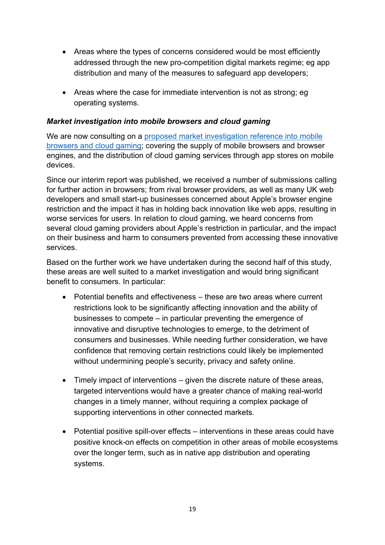- Areas where the types of concerns considered would be most efficiently addressed through the new pro-competition digital markets regime; eg app distribution and many of the measures to safeguard app developers;
- Areas where the case for immediate intervention is not as strong; eg operating systems.

### *Market investigation into mobile browsers and cloud gaming*

We are now consulting on a proposed market investigation reference into mobile [browsers and cloud gaming;](https://www.gov.uk/cma-cases/mobile-browsers-and-cloud-gaming) covering the supply of mobile browsers and browser engines, and the distribution of cloud gaming services through app stores on mobile devices.

Since our interim report was published, we received a number of submissions calling for further action in browsers; from rival browser providers, as well as many UK web developers and small start-up businesses concerned about Apple's browser engine restriction and the impact it has in holding back innovation like web apps, resulting in worse services for users. In relation to cloud gaming, we heard concerns from several cloud gaming providers about Apple's restriction in particular, and the impact on their business and harm to consumers prevented from accessing these innovative services.

Based on the further work we have undertaken during the second half of this study, these areas are well suited to a market investigation and would bring significant benefit to consumers. In particular:

- Potential benefits and effectiveness these are two areas where current restrictions look to be significantly affecting innovation and the ability of businesses to compete – in particular preventing the emergence of innovative and disruptive technologies to emerge, to the detriment of consumers and businesses. While needing further consideration, we have confidence that removing certain restrictions could likely be implemented without undermining people's security, privacy and safety online.
- Timely impact of interventions given the discrete nature of these areas, targeted interventions would have a greater chance of making real-world changes in a timely manner, without requiring a complex package of supporting interventions in other connected markets.
- Potential positive spill-over effects interventions in these areas could have positive knock-on effects on competition in other areas of mobile ecosystems over the longer term, such as in native app distribution and operating systems.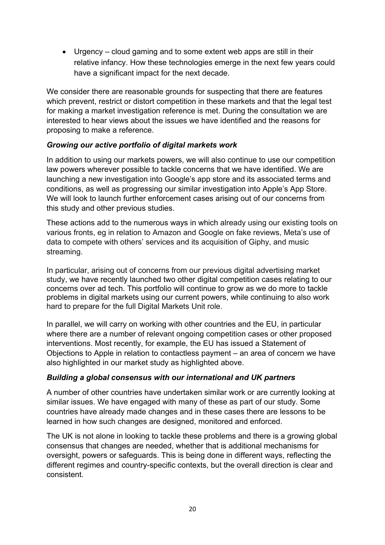• Urgency – cloud gaming and to some extent web apps are still in their relative infancy. How these technologies emerge in the next few years could have a significant impact for the next decade.

We consider there are reasonable grounds for suspecting that there are features which prevent, restrict or distort competition in these markets and that the legal test for making a market investigation reference is met. During the consultation we are interested to hear views about the issues we have identified and the reasons for proposing to make a reference.

# *Growing our active portfolio of digital markets work*

In addition to using our markets powers, we will also continue to use our competition law powers wherever possible to tackle concerns that we have identified. We are launching a new investigation into Google's app store and its associated terms and conditions, as well as progressing our similar investigation into Apple's App Store. We will look to launch further enforcement cases arising out of our concerns from this study and other previous studies.

These actions add to the numerous ways in which already using our existing tools on various fronts, eg in relation to Amazon and Google on fake reviews, Meta's use of data to compete with others' services and its acquisition of Giphy, and music streaming.

In particular, arising out of concerns from our previous digital advertising market study, we have recently launched two other digital competition cases relating to our concerns over ad tech. This portfolio will continue to grow as we do more to tackle problems in digital markets using our current powers, while continuing to also work hard to prepare for the full Digital Markets Unit role.

In parallel, we will carry on working with other countries and the EU, in particular where there are a number of relevant ongoing competition cases or other proposed interventions. Most recently, for example, the EU has issued a Statement of Objections to Apple in relation to contactless payment – an area of concern we have also highlighted in our market study as highlighted above.

# *Building a global consensus with our international and UK partners*

A number of other countries have undertaken similar work or are currently looking at similar issues. We have engaged with many of these as part of our study. Some countries have already made changes and in these cases there are lessons to be learned in how such changes are designed, monitored and enforced.

The UK is not alone in looking to tackle these problems and there is a growing global consensus that changes are needed, whether that is additional mechanisms for oversight, powers or safeguards. This is being done in different ways, reflecting the different regimes and country-specific contexts, but the overall direction is clear and consistent.